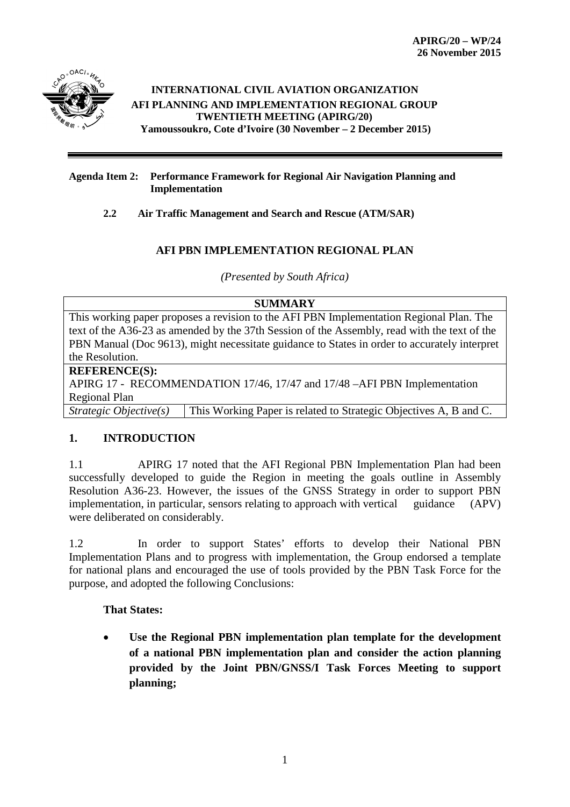

#### **INTERNATIONAL CIVIL AVIATION ORGANIZATION AFI PLANNING AND IMPLEMENTATION REGIONAL GROUP TWENTIETH MEETING (APIRG/20) Yamoussoukro, Cote d'Ivoire (30 November – 2 December 2015)**

#### **Agenda Item 2: Performance Framework for Regional Air Navigation Planning and Implementation**

### **2.2 Air Traffic Management and Search and Rescue (ATM/SAR)**

## **AFI PBN IMPLEMENTATION REGIONAL PLAN**

*(Presented by South Africa)*

## **SUMMARY** This working paper proposes a revision to the AFI PBN Implementation Regional Plan. The text of the A36-23 as amended by the 37th Session of the Assembly, read with the text of the PBN Manual (Doc 9613), might necessitate guidance to States in order to accurately interpret the Resolution. **REFERENCE(S):**  APIRG 17 - RECOMMENDATION 17/46, 17/47 and 17/48 –AFI PBN Implementation Regional Plan *Strategic Objective(s)* This Working Paper is related to Strategic Objectives A, B and C.

# **1. INTRODUCTION**

1.1 APIRG 17 noted that the AFI Regional PBN Implementation Plan had been successfully developed to guide the Region in meeting the goals outline in Assembly Resolution A36-23. However, the issues of the GNSS Strategy in order to support PBN implementation, in particular, sensors relating to approach with vertical guidance (APV) were deliberated on considerably.

1.2 In order to support States' efforts to develop their National PBN Implementation Plans and to progress with implementation, the Group endorsed a template for national plans and encouraged the use of tools provided by the PBN Task Force for the purpose, and adopted the following Conclusions:

### **That States:**

• **Use the Regional PBN implementation plan template for the development of a national PBN implementation plan and consider the action planning provided by the Joint PBN/GNSS/I Task Forces Meeting to support planning;**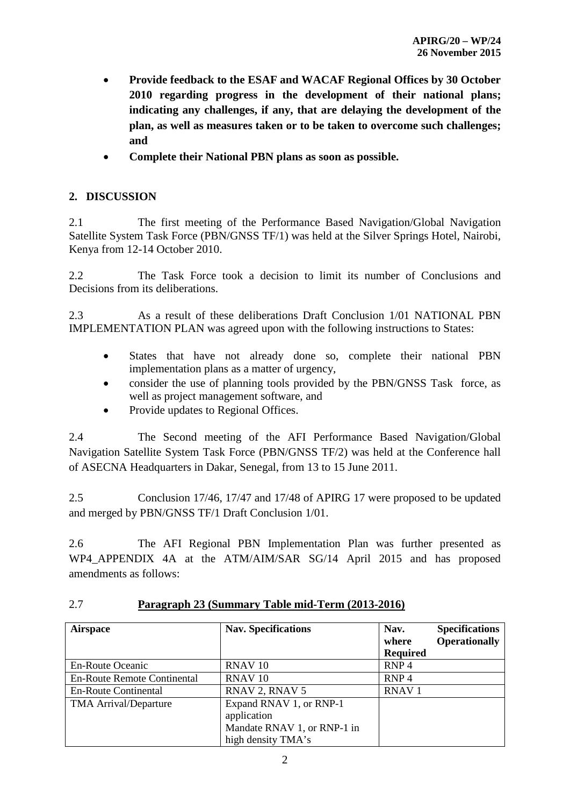- **Provide feedback to the ESAF and WACAF Regional Offices by 30 October 2010 regarding progress in the development of their national plans; indicating any challenges, if any, that are delaying the development of the plan, as well as measures taken or to be taken to overcome such challenges; and**
- **Complete their National PBN plans as soon as possible.**

## **2. DISCUSSION**

2.1 The first meeting of the Performance Based Navigation/Global Navigation Satellite System Task Force (PBN/GNSS TF/1) was held at the Silver Springs Hotel, Nairobi, Kenya from 12-14 October 2010.

2.2 The Task Force took a decision to limit its number of Conclusions and Decisions from its deliberations.

2.3 As a result of these deliberations Draft Conclusion 1/01 NATIONAL PBN IMPLEMENTATION PLAN was agreed upon with the following instructions to States:

- States that have not already done so, complete their national PBN implementation plans as a matter of urgency,
- consider the use of planning tools provided by the PBN/GNSS Task force, as well as project management software, and
- Provide updates to Regional Offices.

2.4 The Second meeting of the AFI Performance Based Navigation/Global Navigation Satellite System Task Force (PBN/GNSS TF/2) was held at the Conference hall of ASECNA Headquarters in Dakar, Senegal, from 13 to 15 June 2011.

2.5 Conclusion 17/46, 17/47 and 17/48 of APIRG 17 were proposed to be updated and merged by PBN/GNSS TF/1 Draft Conclusion 1/01.

2.6 The AFI Regional PBN Implementation Plan was further presented as WP4\_APPENDIX 4A at the ATM/AIM/SAR SG/14 April 2015 and has proposed amendments as follows:

| <b>Airspace</b>                    | <b>Nav. Specifications</b>                                                                  | Nav.<br>where<br><b>Required</b> | <b>Specifications</b><br><b>Operationally</b> |
|------------------------------------|---------------------------------------------------------------------------------------------|----------------------------------|-----------------------------------------------|
| <b>En-Route Oceanic</b>            | RNAV <sub>10</sub>                                                                          | RNP <sub>4</sub>                 |                                               |
| <b>En-Route Remote Continental</b> | RNAV <sub>10</sub>                                                                          | RNP <sub>4</sub>                 |                                               |
| <b>En-Route Continental</b>        | RNAV 2, RNAV 5                                                                              | <b>RNAV1</b>                     |                                               |
| <b>TMA Arrival/Departure</b>       | Expand RNAV 1, or RNP-1<br>application<br>Mandate RNAV 1, or RNP-1 in<br>high density TMA's |                                  |                                               |

# 2.7 **Paragraph 23 (Summary Table mid-Term (2013-2016)**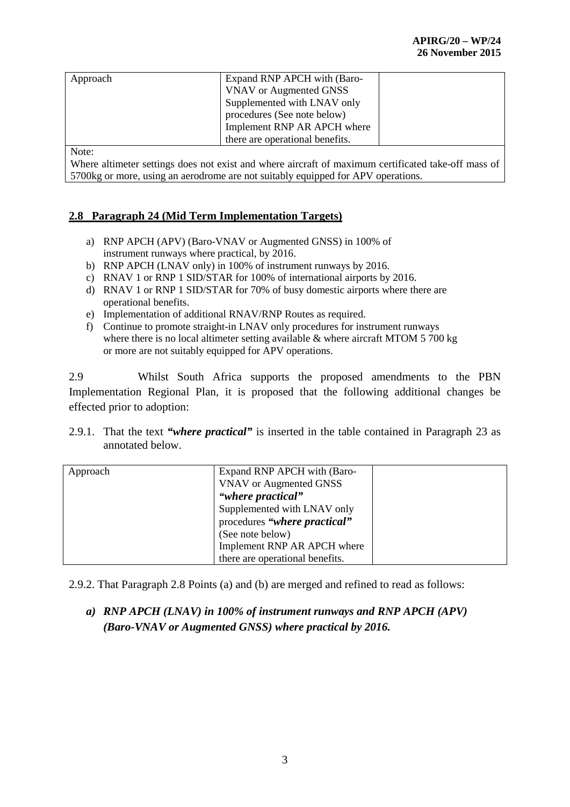| Approach     | Expand RNP APCH with (Baro-     |  |
|--------------|---------------------------------|--|
|              | VNAV or Augmented GNSS          |  |
|              | Supplemented with LNAV only     |  |
|              | procedures (See note below)     |  |
|              | Implement RNP AR APCH where     |  |
|              | there are operational benefits. |  |
| $\mathbf{X}$ |                                 |  |

Note:

Where altimeter settings does not exist and where aircraft of maximum certificated take-off mass of 5700kg or more, using an aerodrome are not suitably equipped for APV operations.

### **2.8 Paragraph 24 (Mid Term Implementation Targets)**

- a) RNP APCH (APV) (Baro-VNAV or Augmented GNSS) in 100% of instrument runways where practical, by 2016.
- b) RNP APCH (LNAV only) in 100% of instrument runways by 2016.
- c) RNAV 1 or RNP 1 SID/STAR for 100% of international airports by 2016.
- d) RNAV 1 or RNP 1 SID/STAR for 70% of busy domestic airports where there are operational benefits.
- e) Implementation of additional RNAV/RNP Routes as required.
- f) Continue to promote straight-in LNAV only procedures for instrument runways where there is no local altimeter setting available  $\&$  where aircraft MTOM 5 700 kg or more are not suitably equipped for APV operations.

2.9 Whilst South Africa supports the proposed amendments to the PBN Implementation Regional Plan, it is proposed that the following additional changes be effected prior to adoption:

2.9.1. That the text *"where practical"* is inserted in the table contained in Paragraph 23 as annotated below.

| Approach | Expand RNP APCH with (Baro-     |  |
|----------|---------------------------------|--|
|          | <b>VNAV</b> or Augmented GNSS   |  |
|          | "where practical"               |  |
|          | Supplemented with LNAV only     |  |
|          | procedures "where practical"    |  |
|          | (See note below)                |  |
|          | Implement RNP AR APCH where     |  |
|          | there are operational benefits. |  |

2.9.2. That Paragraph 2.8 Points (a) and (b) are merged and refined to read as follows:

# *a) RNP APCH (LNAV) in 100% of instrument runways and RNP APCH (APV) (Baro-VNAV or Augmented GNSS) where practical by 2016.*